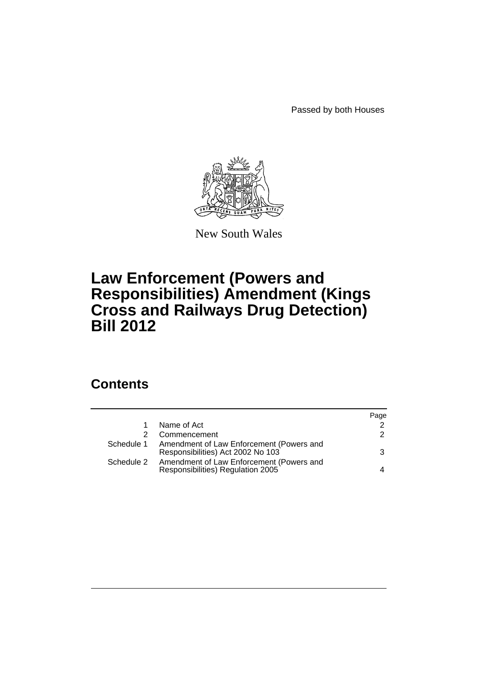Passed by both Houses



New South Wales

## **Law Enforcement (Powers and Responsibilities) Amendment (Kings Cross and Railways Drug Detection) Bill 2012**

## **Contents**

|            |                                                                               | Page          |
|------------|-------------------------------------------------------------------------------|---------------|
|            | Name of Act                                                                   | $\mathcal{P}$ |
|            | Commencement                                                                  | $\mathcal{P}$ |
| Schedule 1 | Amendment of Law Enforcement (Powers and<br>Responsibilities) Act 2002 No 103 | 3             |
| Schedule 2 | Amendment of Law Enforcement (Powers and<br>Responsibilities) Regulation 2005 | 4             |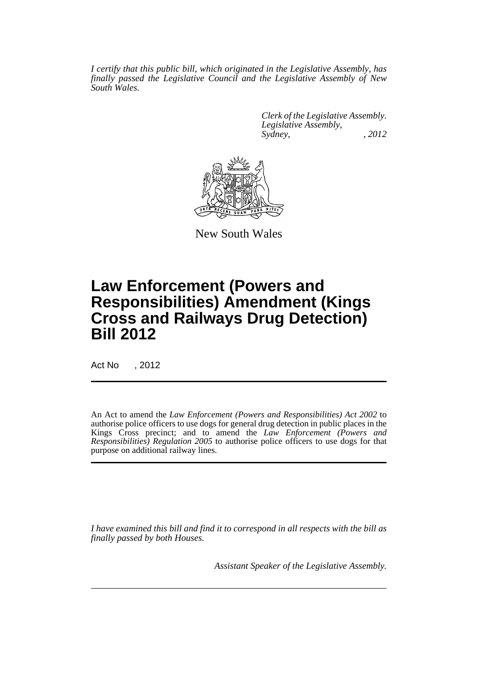*I certify that this public bill, which originated in the Legislative Assembly, has finally passed the Legislative Council and the Legislative Assembly of New South Wales.*

> *Clerk of the Legislative Assembly. Legislative Assembly, Sydney, , 2012*



New South Wales

# **Law Enforcement (Powers and Responsibilities) Amendment (Kings Cross and Railways Drug Detection) Bill 2012**

Act No , 2012

An Act to amend the *Law Enforcement (Powers and Responsibilities) Act 2002* to authorise police officers to use dogs for general drug detection in public places in the Kings Cross precinct; and to amend the *Law Enforcement (Powers and Responsibilities) Regulation 2005* to authorise police officers to use dogs for that purpose on additional railway lines.

*I have examined this bill and find it to correspond in all respects with the bill as finally passed by both Houses.*

*Assistant Speaker of the Legislative Assembly.*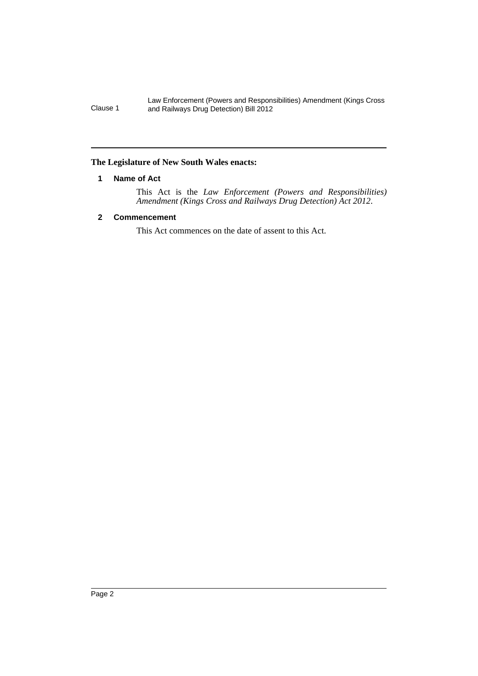Law Enforcement (Powers and Responsibilities) Amendment (Kings Cross Clause 1 and Railways Drug Detection) Bill 2012

### <span id="page-3-0"></span>**The Legislature of New South Wales enacts:**

### **1 Name of Act**

This Act is the *Law Enforcement (Powers and Responsibilities) Amendment (Kings Cross and Railways Drug Detection) Act 2012*.

## <span id="page-3-1"></span>**2 Commencement**

This Act commences on the date of assent to this Act.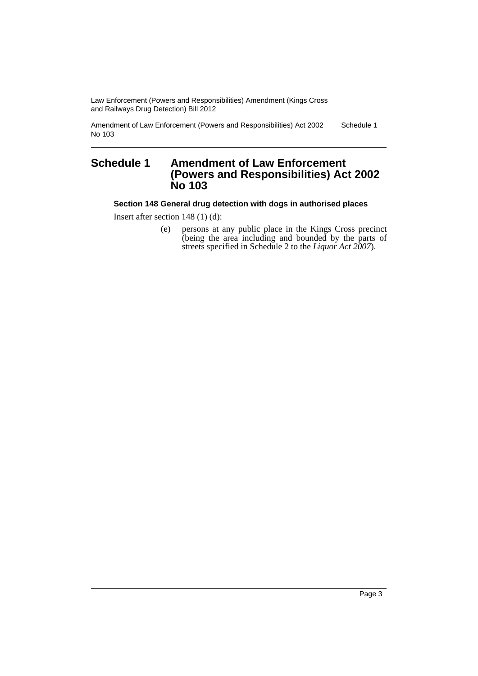Law Enforcement (Powers and Responsibilities) Amendment (Kings Cross and Railways Drug Detection) Bill 2012

Amendment of Law Enforcement (Powers and Responsibilities) Act 2002 No 103 Schedule 1

## <span id="page-4-0"></span>**Schedule 1 Amendment of Law Enforcement (Powers and Responsibilities) Act 2002 No 103**

**Section 148 General drug detection with dogs in authorised places**

Insert after section 148 (1) (d):

(e) persons at any public place in the Kings Cross precinct (being the area including and bounded by the parts of streets specified in Schedule 2 to the *Liquor Act 2007*).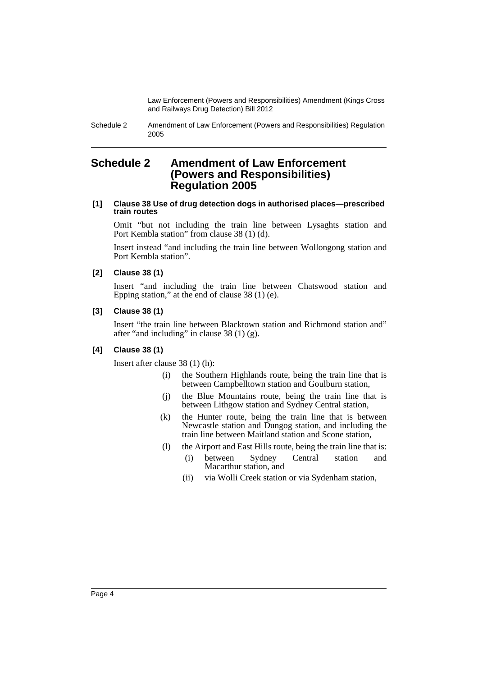Law Enforcement (Powers and Responsibilities) Amendment (Kings Cross and Railways Drug Detection) Bill 2012

Schedule 2 Amendment of Law Enforcement (Powers and Responsibilities) Regulation 2005

## <span id="page-5-0"></span>**Schedule 2 Amendment of Law Enforcement (Powers and Responsibilities) Regulation 2005**

#### **[1] Clause 38 Use of drug detection dogs in authorised places—prescribed train routes**

Omit "but not including the train line between Lysaghts station and Port Kembla station" from clause 38 (1) (d).

Insert instead "and including the train line between Wollongong station and Port Kembla station".

#### **[2] Clause 38 (1)**

Insert "and including the train line between Chatswood station and Epping station," at the end of clause 38 (1) (e).

## **[3] Clause 38 (1)**

Insert "the train line between Blacktown station and Richmond station and" after "and including" in clause 38 (1) (g).

## **[4] Clause 38 (1)**

Insert after clause 38 (1) (h):

- (i) the Southern Highlands route, being the train line that is between Campbelltown station and Goulburn station,
- (j) the Blue Mountains route, being the train line that is between Lithgow station and Sydney Central station,
- (k) the Hunter route, being the train line that is between Newcastle station and Dungog station, and including the train line between Maitland station and Scone station,
- (l) the Airport and East Hills route, being the train line that is:
	- (i) between Sydney Central station and Macarthur station, and
		- (ii) via Wolli Creek station or via Sydenham station,